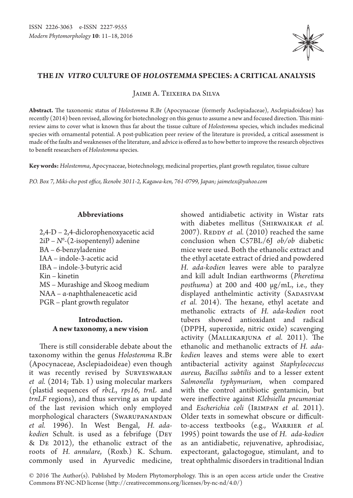

# **The** *in vitro* **culture of** *Holostemma* **species: a critical analysis**

Jaime A. Teixeira da Silva

**Abstract.** The taxonomic status of *Holostemma* R.Br (Apocynaceae (formerly Asclepiadaceae), Asclepiadoideae) has recently (2014) been revised, allowing for biotechnology on this genus to assume a new and focused direction. This minireview aims to cover what is known thus far about the tissue culture of *Holostemma* species, which includes medicinal species with ornamental potential. A post-publication peer review of the literature is provided, a critical assessment is made of the faults and weaknesses of the literature, and advice is offered as to how better to improve the research objectives to benefit researchers of *Holostemma* species.

**Key words:** *Holostemma*, Apocynaceae, biotechnology, medicinal properties, plant growth regulator, tissue culture

*P.O. Box 7, Miki-cho post office, Ikenobe 3011-2, Kagawa-ken, 761-0799, Japan; jaimetex@yahoo.com*

## **Abbreviations**

2,4-D – 2,4-diclorophenoxyacetic acid 2iP – *N6* -(2-isopentenyl) adenine BA – 6-benzyladenine IAA – indole-3-acetic acid IBA – indole-3-butyric acid Kin – kinetin MS – Murashige and Skoog medium NAA – α-naphthaleneacetic acid PGR – plant growth regulator

# **Introduction. A new taxonomy, a new vision**

There is still considerable debate about the taxonomy within the genus *Holostemma* R.Br (Apocynaceae, Asclepiadoideae) even though it was recently revised by Surveswaran *et al.* (2014; Tab. 1) using molecular markers (plastid sequences of *rbcL*, *rps16*, *trnL* and *trnLF* regions), and thus serving as an update of the last revision which only employed morphological characters (SWARUPANANDAN *et al.* 1996). In West Bengal, *H. adakodien* Schult. is used as a febrifuge (Dey & De 2012), the ethanolic extract of the roots of *H. annulare*, (Roxb.) K. Schum. commonly used in Ayurvedic medicine,

showed antidiabetic activity in Wistar rats with diabetes mellitus (Shirwaikar *et al.*  2007). REDDY *et al.* (2010) reached the same conclusion when C57BL/6J *ob/ob* diabetic mice were used. Both the ethanolic extract and the ethyl acetate extract of dried and powdered *H. ada-kodien* leaves were able to paralyze and kill adult Indian earthworms (*Pheretima posthuma*) at 200 and 400 µg/mL, i.e., they displayed anthelmintic activity (SADASIVAM *et al.* 2014). The hexane, ethyl acetate and methanolic extracts of *H. ada-kodien* root tubers showed antioxidant and radical (DPPH, superoxide, nitric oxide) scavenging activity (Mallikarjuna *et al.* 2011). The ethanolic and methanolic extracts of *H. adakodien* leaves and stems were able to exert antibacterial activity against *Staphylococcus aureus, Bacillus subtilis* and to a lesser extent *Salmonella typhymurium*, when compared with the control antibiotic gentamicin, but were ineffective against *Klebsiella pneumoniae* and *Escherichia coli* (Irimpan *et al.* 2011). Older texts in somewhat obscure or difficultto-access textbooks (e.g., Warrier *et al.* 1995) point towards the use of *H. ada-kodien*  as an antidiabetic, rejuvenative, aphrodisiac, expectorant, galactogogue, stimulant, and to treat ophthalmic disorders in traditional Indian

© 2016 The Author(s). Published by Modern Phytomorphology. This is an open access article under the Creative Commons BY-NC-ND license (http://creativecommons.org/licenses/by-nc-nd/4.0/)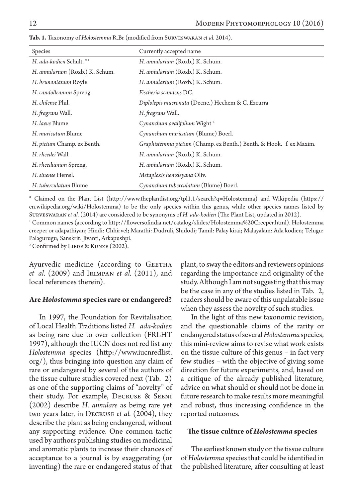| Species                         | Currently accepted name                                            |
|---------------------------------|--------------------------------------------------------------------|
| H. ada-kodien Schult. *1        | H. annularium (Roxb.) K. Schum.                                    |
| H. annularium (Roxb.) K. Schum. | H. annularium (Roxb.) K. Schum.                                    |
| H. brunonianum Royle            | H. annularium (Roxb.) K. Schum.                                    |
| H. candolleanum Spreng.         | Fischeria scandens DC.                                             |
| H. chilense Phil.               | Diplolepis mucronata (Decne.) Hechem & C. Ezcurra                  |
| H. fragrans Wall.               | H. fragrans Wall.                                                  |
| H. laeve Blume                  | Cynanchum ovalifolium Wight <sup>2</sup>                           |
| H. muricatum Blume              | Cynanchum muricatum (Blume) Boerl.                                 |
| H. pictum Champ. ex Benth.      | Graphistemma pictum (Champ. ex Benth.) Benth. & Hook. f. ex Maxim. |
| H. rheedei Wall.                | H. annularium (Roxb.) K. Schum.                                    |
| H. rheedianum Spreng.           | H. annularium (Roxb.) K. Schum.                                    |
| H. sinense Hemsl.               | Metaplexis hemsleyana Oliv.                                        |
| H. tuberculatum Blume           | Cynanchum tuberculatum (Blume) Boerl.                              |

**Tab. 1.** Taxonomy of *Holostemma* R.Br (modified from Surveswaran *et al.* 2014).

\* Claimed on the Plant List (http://www.theplantlist.org/tpl1.1/search?q=Holostemma) and Wikipedia (https:// en.wikipedia.org/wiki/Holostemma) to be the only species within this genus, while other species names listed by Surveswaran *et al.* (2014) are considered to be synonyms of *H. ada-kodien* (The Plant List, updated in 2012).

1 Common names (according to http://flowersofindia.net/catalog/slides/Holostemma%20Creeper.html). Holostemma creeper or adapathiyan; Hindi: Chhirvel; Marathi: Dudruli, Shidodi; Tamil: Palay kirai; Malayalam: Ada kodien; Telugu: Palagurugu; Sanskrit: Jivanti, Arkapushpi.

 $2^2$  Confirmed by LIEDE & KUNZE (2002).

Ayurvedic medicine (according to GEETHA *et al.* (2009) and Irimpan *et al.* (2011), and local references therein).

#### **Are** *Holostemma* **species rare or endangered?**

In 1997, the Foundation for Revitalisation of Local Health Traditions listed *H. ada-kodien*  as being rare due to over collection (FRLHT 1997), although the IUCN does not red list any *Holostemma* species (http://www.iucnredlist. org/), thus bringing into question any claim of rare or endangered by several of the authors of the tissue culture studies covered next (Tab. 2) as one of the supporting claims of "novelty" of their study. For example, Decruse & Seeni (2002) describe *H. annulare* as being rare yet two years later, in Decruse *et al.* (2004), they describe the plant as being endangered, without any supporting evidence. One common tactic used by authors publishing studies on medicinal and aromatic plants to increase their chances of acceptance to a journal is by exaggerating (or inventing) the rare or endangered status of that

plant, to sway the editors and reviewers opinions regarding the importance and originality of the study. Although I am not suggesting that this may be the case in any of the studies listed in Tab. 2, readers should be aware of this unpalatable issue when they assess the novelty of such studies.

In the light of this new taxonomic revision, and the questionable claims of the rarity or endangered status of several *Holostemma* species, this mini-review aims to revise what work exists on the tissue culture of this genus – in fact very few studies – with the objective of giving some direction for future experiments, and, based on a critique of the already published literature, advice on what should or should not be done in future research to make results more meaningful and robust, thus increasing confidence in the reported outcomes.

### **The tissue culture of** *Holostemma* **species**

The earliest known study on the tissue culture of *Holostemma* species that could be identified in the published literature, after consulting at least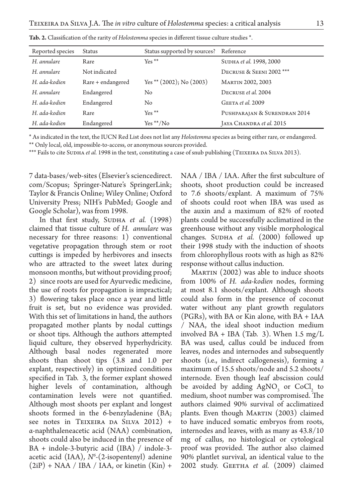| Reported species | <b>Status</b>     | Status supported by sources?  | Reference                    |
|------------------|-------------------|-------------------------------|------------------------------|
| H. annulare      | Rare              | $Yes **$                      | SUDHA et al. 1998, 2000      |
| H. annulare      | Not indicated     |                               | DECRUSE & SEENI 2002 ***     |
| H. ada-kodien    | Rare + endangered | Yes ** $(2002)$ ; No $(2003)$ | <b>MARTIN 2002, 2003</b>     |
| H. annulare      | Endangered        | No                            | DECRUSE et al. 2004          |
| H. ada-kodien    | Endangered        | No                            | GEETA et al. 2009            |
| H. ada-kodien    | Rare              | $Yes **$                      | PUSHPARAJAN & SURENDRAN 2014 |
| H. ada-kodien    | Endangered        | $Yes **/No$                   | JAYA CHANDRA et al. 2015     |

**Tab. 2.** Classification of the rarity of *Holostemma* species in different tissue culture studies \*.

\* As indicated in the text, the IUCN Red List does not list any *Holostemma* species as being either rare, or endangered.

\*\* Only local, old, impossible-to-access, or anonymous sources provided.

\*\*\* Fails to cite SUDHA et al. 1998 in the text, constituting a case of snub publishing (TEIXEIRA DA SILVA 2013).

7 data-bases/web-sites (Elsevier's sciencedirect. com/Scopus; Springer-Nature's SpringerLink; Taylor & Francis Online; Wiley Online; Oxford University Press; NIH's PubMed; Google and Google Scholar), was from 1998.

In that first study, SUDHA et al. (1998) claimed that tissue culture of *H. annulare* was necessary for three reasons: 1) conventional vegetative propagation through stem or root cuttings is impeded by herbivores and insects who are attracted to the sweet latex during monsoon months, but without providing proof; 2) since roots are used for Ayurvedic medicine, the use of roots for propagation is impractical; 3) flowering takes place once a year and little fruit is set, but no evidence was provided. With this set of limitations in hand, the authors propagated mother plants by nodal cuttings or shoot tips. Although the authors attempted liquid culture, they observed hyperhydricity. Although basal nodes regenerated more shoots than shoot tips (3.8 and 1.0 per explant, respectively) in optimized conditions specified in Tab. 3, the former explant showed higher levels of contamination, although contamination levels were not quantified. Although most shoots per explant and longest shoots formed in the 6-benzyladenine (BA; see notes in TEIXEIRA DA SILVA 2012) + α-naphthaleneacetic acid (NAA) combination, shoots could also be induced in the presence of BA + indole-3-butyric acid (IBA) / indole-3 acetic acid (IAA), *N6* -(2-isopentenyl) adenine  $(2iP)$  + NAA / IBA / IAA, or kinetin  $(Kin)$  +

NAA / IBA / IAA. After the first subculture of shoots, shoot production could be increased to 7.6 shoots/explant. A maximum of 75% of shoots could root when IBA was used as the auxin and a maximum of 82% of rooted plants could be successfully acclimatized in the greenhouse without any visible morphological changes. SUDHA *et al.* (2000) followed up their 1998 study with the induction of shoots from chlorophyllous roots with as high as 82% response without callus induction.

MARTIN (2002) was able to induce shoots from 100% of *H. ada-kodien* nodes, forming at most 8.1 shoots/explant. Although shoots could also form in the presence of coconut water without any plant growth regulators (PGRs), with BA or Kin alone, with BA + IAA / NAA, the ideal shoot induction medium involved  $BA + IBA$  (Tab. 3). When 1.5 mg/L BA was used, callus could be induced from leaves, nodes and internodes and subsequently shoots (i.e., indirect callogenesis), forming a maximum of 15.5 shoots/node and 5.2 shoots/ internode. Even though leaf abscission could be avoided by adding  $AgNO_3$  or  $CoCl_2$  to medium, shoot number was compromised. The authors claimed 90% survival of acclimatized plants. Even though MARTIN (2003) claimed to have induced somatic embryos from roots, internodes and leaves, with as many as 43.8/10 mg of callus, no histological or cytological proof was provided. The author also claimed 90% plantlet survival, an identical value to the 2002 study. GEETHA et al. (2009) claimed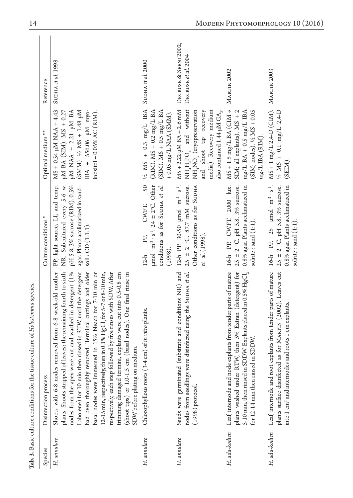|               | Tab. 3. Basic culture conditions for the tissue culture of Holostemma species.                                                                                                                                                                                                                                                                                                                                                                                                                                                                                                                                                                                                                     |                                                                                                                                                             |                                                                                                                                                                                                                                              |                                              |
|---------------|----------------------------------------------------------------------------------------------------------------------------------------------------------------------------------------------------------------------------------------------------------------------------------------------------------------------------------------------------------------------------------------------------------------------------------------------------------------------------------------------------------------------------------------------------------------------------------------------------------------------------------------------------------------------------------------------------|-------------------------------------------------------------------------------------------------------------------------------------------------------------|----------------------------------------------------------------------------------------------------------------------------------------------------------------------------------------------------------------------------------------------|----------------------------------------------|
| Species       | Disinfection process                                                                                                                                                                                                                                                                                                                                                                                                                                                                                                                                                                                                                                                                               | Culture conditions*                                                                                                                                         | Optimal medium <sup>**</sup>                                                                                                                                                                                                                 | Reference                                    |
| H. annulare   | Labolene) for 10 min then rinsed in RTW until the detergent<br>nodes from the apex were cut and washed in detergent (1%<br>plants. Shoots stripped of leaves; the remaining fourth to sixth<br>had been thoroughly removed. Terminal cuttings and older<br>removed from 6-8 week-old mother<br>respectively, each step followed by five rinses with SDW. After<br>12-15 min, respectively, then in 0.1% HgCl <sub>2</sub> for 5-7 or 8-10 min,<br>trimming damaged termini, explants were cut into 0.5-0.8 cm<br>basal nodes were immersed in 15% bleach for 7-10 min or<br>(shoot tips) or 1.0-1.5 cm (basal nodes). One final rinse in<br>SDW before plating on medium.<br>Shoots with 6-8 nodes | agar. Plants acclimatized in sand:<br>NR. Subcultured every 5-6 w.<br>pH 5.8.3% sucrose (RIM). 0.5%<br>PP, light source, LI, and temp.<br>soil: CD (1:1:1). | MS + 0.54 µM NAA + 4.43<br>(SMM). $\frac{1}{4}$ SA: 1.48 pM<br>IBA + 556.06 uM myo-<br>$\mu$ M NAA + 2.21 $\mu$ M BA<br>$\mu$ M BA (SIM). MS + 0.27<br>inositol + $0.05%$ AC (RIM).                                                          | SUDHA et al. 1998                            |
| H. annulare   | Chlorophyllous roots (3-4 cm) of in vitro plants.                                                                                                                                                                                                                                                                                                                                                                                                                                                                                                                                                                                                                                                  | $\mu$ mol · m <sup>-2</sup> · s <sup>-1</sup> . 24 ± 2°C. Other<br>conditions as for SUDHA et al.<br>CWFT.<br>PP.<br>(1998).<br>$12-h$                      | 50 $\frac{1}{2}$ MS + 0.3 mg/L IBA<br>(RIM). $MS + 0.2$ mg/L BA<br>$(SIM)$ . MS + 0.5 mg/L BA<br>$+0.05$ mg/L NAA (SMM).                                                                                                                     | SUDHA et al. 2000                            |
| H. annulare   | (substrate and conditions NR) and<br>nodes from seedlings were disinfected using the SUDHA et al.<br>Seeds were germinated<br>$(1998)$ protocol.                                                                                                                                                                                                                                                                                                                                                                                                                                                                                                                                                   | 12-h PP. 30-50 µmol · m <sup>-2</sup> · s <sup>-1</sup> .<br>Other conditions as for SUDHA<br>$25 \pm 2$ °C. 87.7 mM sucrose.<br>et al. (1998).             | $MS + 2.22$ $\mu M BA + 2.6$ mM<br>$\mathrm{NH}_4\mathrm{H}_2\mathrm{PO}_4$ and without $\mathrm{NH}_4\mathrm{NO}_3$ (cryopreservation<br>and shoot tip recovery<br>media). Recovery medium<br>also contained 1.44 $\mu$ M GA <sub>3</sub> . | DECRUSE & SEENI 2002;<br>DECRUSE et al. 2004 |
| H. ada-kodien | plants washed under RTW, then 5% Extran (detergent) for<br>Leaf, internode and node explants from tender parts of mature<br>$5\text{-}10$ min, then rinsed in SDDW. Explants placed in 0.5% $\mathrm{HgCl}_2$<br>for 12-14 min then rinsed in SDDW.                                                                                                                                                                                                                                                                                                                                                                                                                                                | 16-h PP. CWFT. 2000 lux.<br>0.8% agar. Plants acclimatized in<br>$25 \pm 2$ °C, pH 5.8. 3% sucrose.<br>solrite : sand (1:1).                                | $MS + 1.5$ mg/L BA (CIM $\rightarrow$<br>$(SIM; nodes)$ . $1/2 MS + 0.05$<br>SIM; all explants). MS + 2<br>$mg/L$ BA + 0.5 mg/L IBA<br>mg/L IBA (RIM)                                                                                        | <b>MARTIN 2002</b>                           |
| H. ada-kodien | plants surface disinfected as for MARTIN (2002). Leaves cut<br>Leaf, internode and root explants from tender parts of mature<br>into 1 cm <sup>2</sup> and internodes and roots 1 cm explants.                                                                                                                                                                                                                                                                                                                                                                                                                                                                                                     | 0.8% agar. Plants acclimatized in<br>$16-h$ PP. 25 $\mu$ mol $m^2 \cdot s^1$ .<br>$25 \pm 2$ °C. pH 5.8. 3% sucrose.<br>solrite : sand (1:1).               | $MS + 1 mg/L 2,4-D (CIM).$<br>$\frac{1}{4}$ MS + 0.1 mg/L 2,4-D<br>(SEIM)                                                                                                                                                                    | <b>MARTIN 2003</b>                           |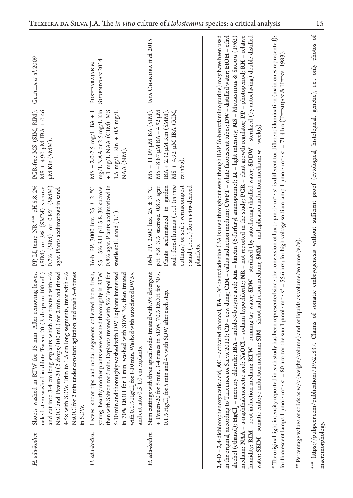| GEETHA et al. 2009                                                                                                                                                                                                                                                                                                                                                                         | SURENDRAN <sub>2014</sub><br>PUSHPARAJAN <sup>&amp;</sup>                                                                                                                                                                                                                                                                                                                                                                 | JAYA CHANDRA et al. 2015                                                                                                                                                                                                            |                                                                                                                                                                                                                                                                                                                                                                                                                                                                                                                                                                                                                                                                                                                                                                                                                                                                                                                                                                                                                                                         |                                                                                                                                                                                                                                                                                                                                                                                                                                                                     |                                                                                             |                                                                                                                                                                    |
|--------------------------------------------------------------------------------------------------------------------------------------------------------------------------------------------------------------------------------------------------------------------------------------------------------------------------------------------------------------------------------------------|---------------------------------------------------------------------------------------------------------------------------------------------------------------------------------------------------------------------------------------------------------------------------------------------------------------------------------------------------------------------------------------------------------------------------|-------------------------------------------------------------------------------------------------------------------------------------------------------------------------------------------------------------------------------------|---------------------------------------------------------------------------------------------------------------------------------------------------------------------------------------------------------------------------------------------------------------------------------------------------------------------------------------------------------------------------------------------------------------------------------------------------------------------------------------------------------------------------------------------------------------------------------------------------------------------------------------------------------------------------------------------------------------------------------------------------------------------------------------------------------------------------------------------------------------------------------------------------------------------------------------------------------------------------------------------------------------------------------------------------------|---------------------------------------------------------------------------------------------------------------------------------------------------------------------------------------------------------------------------------------------------------------------------------------------------------------------------------------------------------------------------------------------------------------------------------------------------------------------|---------------------------------------------------------------------------------------------|--------------------------------------------------------------------------------------------------------------------------------------------------------------------|
| PGR-free MS (SIM, RIM).<br>$MS + 4.90$ µM IBA + 0.46<br>µM Kin (SMM).                                                                                                                                                                                                                                                                                                                      | mg/LNAA or 2.5 mg/L Kin<br>$+$ 1 mg/L NAA (CIM). ${\rm MS}$<br>$MS + 2.0 - 2.5$ mg/L $BA + 1$<br>1.5 mg/L Kin + 0.5 mg/L<br>NAA (SIM).                                                                                                                                                                                                                                                                                    | MS + 11.09 µM BA (SIM).<br>$MS + 8.87$ $\mu$ M BA + 4.92 $\mu$ M<br>IBA + 2.32 µM Kin (SMM).<br>$MS + 4.92$ $\mu M$ IBA (RIM,<br>$ex\,vito).$                                                                                       |                                                                                                                                                                                                                                                                                                                                                                                                                                                                                                                                                                                                                                                                                                                                                                                                                                                                                                                                                                                                                                                         |                                                                                                                                                                                                                                                                                                                                                                                                                                                                     |                                                                                             |                                                                                                                                                                    |
| PP, LI, temp. NR ***. pH 5.8.2%<br>(SIM) or 3% (SMM) sucrose.<br>$0.7\%$ (SIM) or $0.8\%$ (SMM)<br>agar. Plants acclimatized in sand.                                                                                                                                                                                                                                                      | 16-h PP. 3000 lux. 25 $\pm$ 2 °C.<br>55 ± 5% RH. pH 5.8.3% sucrose.<br>0.8% agar. Plants acclimatized in<br>sterile soil : sand (1:1).                                                                                                                                                                                                                                                                                    | 16-h PP. 2500 lux. 25 $\pm$ 3 °C.<br>soil: forest humus (1:1) (in vivo<br>pH 5.8. 3% sucrose. 0.8% agar.<br>Plants acclimatized in garden<br>cuttings) or soil: vermicompost<br>: sand $(1:1:1)$ for in vitro-derived<br>plantlets. |                                                                                                                                                                                                                                                                                                                                                                                                                                                                                                                                                                                                                                                                                                                                                                                                                                                                                                                                                                                                                                                         |                                                                                                                                                                                                                                                                                                                                                                                                                                                                     |                                                                                             |                                                                                                                                                                    |
| and cut into 3-4 cm long explants which are treated with 4%<br>NaOCl and Tween-20 (2 drops/100 mL) for 2 min and rinsed<br>NaOCl for 2 min under constant agitation, and wash 5-6 times<br>for 15 min. After removing leaves,<br>naked stem washed in dilute Tween-20 (2 drops in 100 mL)<br>4-5x with SDW. Trim to 1.5 cm long segments, treat with 4%<br>Shoots washed in RTW<br>in SDW. | Leaves, shoot tips and nodal segments collected from fresh,<br>young, healthy mother plants were washed thoroughly in RTW<br>then with Salvon for 5 min. Explants treated with 5% Teepol for<br>5-10 min and thoroughly washed with DW. Explants immersed<br>washed with SDW 3x, then treated<br>with 0.1% HgCl, for 1-10 min. Washed with autoclaved DW5×<br>and cut into 0.5-1.0 cm explants.<br>in 70% EtOH for 1 min, | Stem cuttings with three apical nodes treated with 5% detergent<br>+ Tween-20 for 5 min, 3-4 rinses in SDW, 70% EtOH for 30 s,<br>0.1% $HgCl$ for 5 min and 4x with SDW after each step.                                            | medium; NAA – a-naphthaleneacetic acid; NaOCl – sodium hypochlorite; NR – not reported in the study; PGR – plant growth regulator; PP – photoperiod; RH – relative<br>' – activated charcoal; BA – N°-benzyladenine (BA is used throughout even though BAP (6-benzylamino purine) may have been used<br>humidity; <b>RIM</b> - root induction medium; <b>RTW</b> - running tap water; <b>SDW</b> - sterlized (by autoclaving) distilled water; <b>SDDW</b> - sterilized (by autoclaving) double distilled<br>in the original, according to TEIXEIRA DA SILVA 2012); CD – cow dung; CIM – callus induction medium; CWFT – white fluorescent tubes; DW – distilled water; EtOH – ethyl<br>alcohol (ethanol); HgCl, - mercury chloride; IBA - indole-3-butyric acid; Kin - kinetin (6-furfuryl aminopurine); LI - light intensity; MS - MuRASHIGE & SKOOG (1962)<br>water; SEIM – somatic embryo induction medium; SIM – shoot induction medium; SMM – multiplication induction medium; w – week(s)<br>$2,4$ - $D$ – $2,4$ -dichlorophenoxyacetic acid; AC | $^*$ The original light intensity reported in each study has been represented since the conversion of lux to µm0 $\cdot$ m <sup>2</sup> $\cdot$ s' is different for different illumination (main ones represented):<br>for fluorescent lamps 1 µmol·m <sup>2</sup> ·s <sup>-1</sup> = 80 lux; for the sun 1 µmol·m <sup>2</sup> ·s <sup>-1</sup> = 55.6 lux; for high voltage sodium lamp 1 µmol·m <sup>2</sup> ·s <sup>-1</sup> = 71.4 lux (TEINUJAN & HEINS 1983) | ** Percentage values of solids as w/v (weight/volume) and of liquids as volume/volume (v/v) | *** https://pubpeer.com/publications/19521837. Claims of somatic embryogenesis without sufficient proof (cytological, histological, genetic), i.e., only photos of |
| H. ada-kodien                                                                                                                                                                                                                                                                                                                                                                              | H. ada-kodien                                                                                                                                                                                                                                                                                                                                                                                                             | H. ada-kodien                                                                                                                                                                                                                       |                                                                                                                                                                                                                                                                                                                                                                                                                                                                                                                                                                                                                                                                                                                                                                                                                                                                                                                                                                                                                                                         |                                                                                                                                                                                                                                                                                                                                                                                                                                                                     |                                                                                             | macromorphology.                                                                                                                                                   |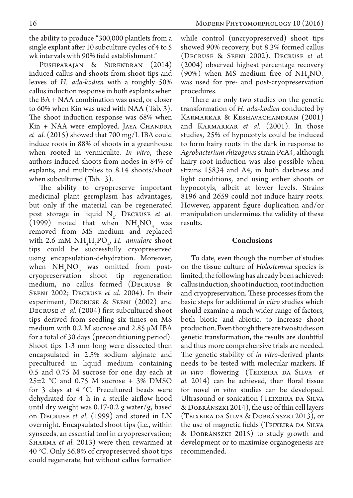the ability to produce "300,000 plantlets from a single explant after 10 subculture cycles of 4 to 5 wk intervals with 90% field establishment."

Pushparajan & Surendran (2014) induced callus and shoots from shoot tips and leaves of *H. ada-kodien* with a roughly 50% callus induction response in both explants when the BA + NAA combination was used, or closer to 60% when Kin was used with NAA (Tab. 3). The shoot induction response was 68% when Kin + NAA were employed. JAYA CHANDRA *et al.* (2015) showed that 700 mg/L IBA could induce roots in 88% of shoots in a greenhouse when rooted in vermiculite. *In vitro*, these authors induced shoots from nodes in 84% of explants, and multiplies to 8.14 shoots/shoot when subcultured (Tab. 3).

The ability to cryopreserve important medicinal plant germplasm has advantages, but only if the material can be regenerated post storage in liquid N<sub>2</sub>. DECRUSE *et al.* (1999) noted that when  $NH<sub>4</sub>NO<sub>3</sub>$  was removed from MS medium and replaced with 2.6 mM  $NH<sub>4</sub>H<sub>2</sub>PO<sub>4</sub>$ , *H.* annulare shoot tips could be successfully cryopreserved using encapsulation-dehydration. Moreover, when  $NH_{4}NO_{3}$  was omitted from postcryopreservation shoot tip regeneration medium, no callus formed (Decruse & Seeni 2002; Decruse *et al.* 2004). In their experiment, Decruse & Seeni (2002) and Decruse *et al.* (2004) first subcultured shoot tips derived from seedling six times on MS medium with 0.2 M sucrose and 2.85 µM IBA for a total of 30 days (preconditioning period). Shoot tips 1-3 mm long were dissected then encapsulated in 2.5% sodium alginate and precultured in liquid medium containing 0.5 and 0.75 M sucrose for one day each at  $25\pm2$  °C and 0.75 M sucrose + 3% DMSO for 3 days at 4 °C. Precultured beads were dehydrated for 4 h in a sterile airflow hood until dry weight was 0.17-0.2 g water/g, based on Decruse *et al.* (1999) and stored in LN overnight. Encapsulated shoot tips (i.e., within synseeds, an essential tool in cryopreservation; SHARMA *et al.* 2013) were then rewarmed at 40 °C. Only 56.8% of cryopreserved shoot tips could regenerate, but without callus formation

while control (uncryopreserved) shoot tips showed 90% recovery, but 8.3% formed callus (Decruse & Seeni 2002). Decruse *et al.*  (2004) observed highest percentage recovery (90%) when MS medium free of  $NH<sub>4</sub>NO<sub>3</sub>$ was used for pre- and post-cryopreservation procedures.

There are only two studies on the genetic transformation of *H. ada-kodien* conducted by Karmarkar & Keshavachandran (2001) and Karmarkar *et al.* (2001). In those studies, 25% of hypocotyls could be induced to form hairy roots in the dark in response to *Agrobacterium rhizogenes* strain PcA4, although hairy root induction was also possible when strains 15834 and A4, in both darkness and light conditions, and using either shoots or hypocotyls, albeit at lower levels. Strains 8196 and 2659 could not induce hairy roots. However, apparent figure duplication and/or manipulation undermines the validity of these results.

## **Conclusions**

To date, even though the number of studies on the tissue culture of *Holostemma* species is limited, the following has already been achieved: callus induction, shoot induction, root induction and cryopreservation. These processes from the basic steps for additional *in vitro* studies which should examine a much wider range of factors, both biotic and abiotic, to increase shoot production. Even though there are two studies on genetic transformation, the results are doubtful and thus more comprehensive trials are needed. The genetic stability of *in vitro*-derived plants needs to be tested with molecular markers. If *in vitro* flowering (Teixeira da Silva *et al.* 2014) can be achieved, then floral tissue for novel *in vitro* studies can be developed. Ultrasound or sonication (Teixeira da Silva & Dobránszki 2014), the use of thin cell layers (Teixeira da Silva & Dobránszki 2013), or the use of magnetic fields (TEIXEIRA DA SILVA & Dobránszki 2015) to study growth and development or to maximize organogenesis are recommended.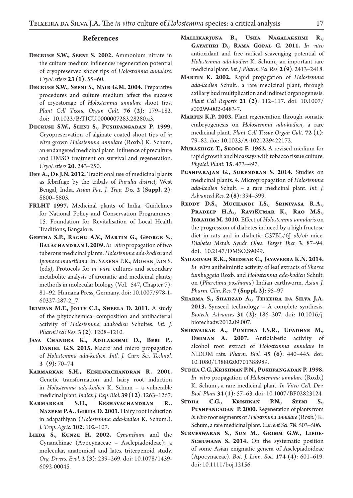#### **References**

- **Decruse S.W., Seeni S. 2002.** Ammonium nitrate in the culture medium influences regeneration potential of cryopreserved shoot tips of *Holostemma annulare. CryoLetters* **23 (1)**: 55–60.
- **Decruse S.W., Seeni S., Nair G.M. 2004.** Preparative procedures and culture medium affect the success of cryostorage of *Holostemma annulare* shoot tips. *Plant Cell Tissue Organ Cult.* **76 (2)**: 179–182. doi: 10.1023/B:TICU.0000007283.28280.a3.
- **Decruse S.W., Seeni S., Pushpangadan P. 1999.**  Cryopreservation of alginate coated shoot tips of *in vitro* grown *Holostemma annulare* (Roxb.) K. Schum, an endangered medicinal plant: influence of preculture and DMSO treatment on survival and regeneration. *CryoLetters* **20**: 243–250.
- **Dey A., De J.N. 2012.** Traditional use of medicinal plants as febrifuge by the tribals of *Purulia district*, West Bengal, India. *Asian Pac. J. Trop. Dis.* **2 (Suppl. 2)**: S800–S803.
- **FRLHT 1997.** Medicinal plants of India. Guidelines for National Policy and Conservation Programmes: 15. Foundation for Revitalisation of Local Health Traditions, Bangalore.
- **Geetha S.P., Raghu A.V., Martin G., George S.,**  BALACHANDRAN I. 2009. In vitro propagation of two tuberous medicinal plants: *Holostemma ada-kodien* and *Ipomoea mauritiana*. In: Saxena P.K., Mohan Jain S. (eds), Protocols for *in vitro* cultures and secondary metabolite analysis of aromatic and medicinal plants; methods in molecular biology (Vol. 547, Chapter 7): 81–92. Humana Press, Germany. doi: 10.1007/978-1- 60327-287-2\_7.
- **Irimpan M.T., Jolly C.I., Sheela D. 2011.** A study of the phytochemical composition and antibacterial activity of *Holostemma adakodien* Schultes. *Int. J. PharmTech Res.* **3 (2)**: 1208–1210.
- **Jaya Chandra K., Adilakshmi D., Bebi P., Daniel G.S. 2015.** Macro and micro propagation of *Holostemma ada-kodien. Intl. J. Curr. Sci. Technol.*  **3 (9)**: 70–74
- **Karmarkar S.H., Keshavachandran R. 2001.** Genetic transformation and hairy root induction in *Holostemma ada-kodien* K. Schum – a vulnerable medicinal plant. *Indian J. Exp. Biol.* **39 (12)**: 1263–1267.
- Karmarkar S.H., Keshavachandran R., **Nazeem P.A., Girija D. 2001.** Hairy root induction in adapathiyan (*Holostemma ada-kodien* K. Schum.). *J. Trop. Agric.* **102**: 102–107.
- LIEDE S., KUNZE H. 2002. *Cynanchum* and the Cynanchinae (Apocynaceae – Asclepiadoideae): a molecular, anatomical and latex triterpenoid study. *Org. Divers. Evol.* **2 (3)**: 239–269. doi: 10.1078/1439- 6092-00045.
- **Mallikarjuna B., Usha Nagalakshmi R., Gayathri D., Rama Gopal G. 2011.** *In vitro*  antioxidant and free radical scavenging potential of *Holostemma ada-kodien* K. Schum., an important rare medicinal plant. *Int. J. Pharm. Sci. Res.* **2 (9)**: 2413–2418.
- **Martin K. 2002.** Rapid propagation of *Holostemma ada-kodien* Schult., a rare medicinal plant, through axillary bud multiplication and indirect organogenesis. *Plant Cell Reports* **21 (2)**: 112–117. doi: 10.1007/ s00299-002-0483-7.
- **Martin K.P. 2003.** Plant regeneration through somatic embryogenesis on *Holostemma ada-kodien*, a rare medicinal plant. *Plant Cell Tissue Organ Cult.* **72 (1)**: 79–82. doi: 10.1023/A:1021229422172.
- **Murashige T., Skoog F. 1962.** A revised medium for rapid growth and bioassays with tobacco tissue culture. *Physiol. Plant.* **15**: 473–497.
- **Pushparajan G., Surendran S. 2014.** Studies on medicinal plants. 4. Micropropagation of *Holostemma ada-kodien* Schult. – a rare medicinal plant. *Int. J. Advanced Res.* **2 (8)**: 394–399.
- **Reddy D.S., Muchandi I.S., Srinivasa R.A., Pradeep H.A., RaviKumar K., Rao M.S., Ibrahim M. 2010.** Effect of *Holostemma annularis* on the progression of diabetes induced by a high fructose diet in rats and in diabetic C57BL/6J *ob/ob* mice. *Diabetes Metab. Syndr. Obes. Target Ther.* **3**: 87–94. doi: 10.2147/DMSO.S9099.
- **Sadasivam R.K., Sridhar C., Jayaveera K.N. 2014.** *In vitro* anthelmintic activity of leaf extracts of *Shorea tumbuggaia* Roxb. and *Holostemma ada-kodien* Schult. on (*Pheretima posthuma*) Indian earthworm. *Asian J. Pharm. Clin. Res.* **7 (Suppl. 2)**: 95–97
- **Sharma S., Shahzad A., Teixeira da Silva J.A. 2013.** Synseed technology – A complete synthesis. *Biotech. Advances* **31 (2)**: 186–207. doi: 10.1016/j. biotechadv.2012.09.007.
- **Shirwaikar A., Punitha I.S.R., Upadhye M., Dhiman A. 2007.** Antidiabetic activity of alcohol root extract of *Holostemma annulare* in NIDDM rats. *Pharm. Biol.* **45 (6)**: 440–445. doi: 10.1080/13880200701388989.
- **Sudha C.G.,Krishnan P.N., Pushpangadan P. 1998.**  *In vitro* propagation of *Holostemma annulare* (Roxb.) K. Schum., a rare medicinal plant. *In Vitro Cell. Dev. Biol. Plant* **34 (1)**: 57–63. doi: 10.1007/BF02823124
- **Sudha C.G., Krishnan P.N., Seeni S., Pushpangadan P. 2000.** Regeneration of plants from *in vitro* root segments of *Holostemma annulare* (Roxb.) K. Schum, a rare medicinal plant. *Current Sci.* **78**: 503–506.
- **Surveswaran S., Sun M., Grimm G.W., Liede-**SCHUMANN S. 2014. On the systematic position of some Asian enigmatic genera of Asclepiadoideae (Apocynaceae). *Bot. J. Linn. Soc.* **174 (4)**: 601–619. doi: 10.1111/boj.12156.